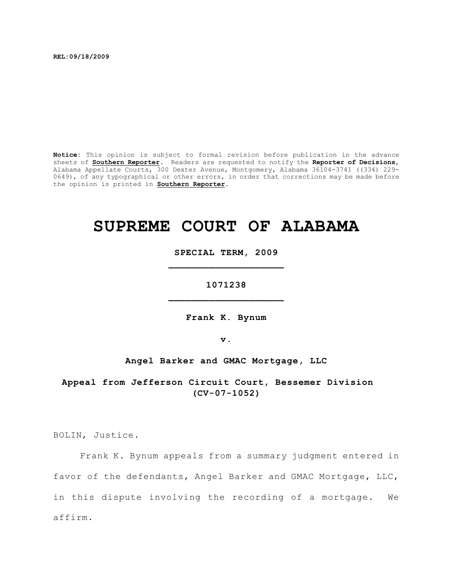**REL:09/18/2009**

**Notice:** This opinion is subject to formal revision before publication in the advance sheets of **Southern Reporter**. Readers are requested to notify the **Reporter of Decisions**, Alabama Appellate Courts, 300 Dexter Avenue, Montgomery, Alabama 36104-3741 ((334) 229- 0649), of any typographical or other errors, in order that corrections may be made before the opinion is printed in **Southern Reporter**.

# **SUPREME COURT OF ALABAMA**

**SPECIAL TERM, 2009 \_\_\_\_\_\_\_\_\_\_\_\_\_\_\_\_\_\_\_\_**

**1071238 \_\_\_\_\_\_\_\_\_\_\_\_\_\_\_\_\_\_\_\_**

**Frank K. Bynum**

**v.**

**Angel Barker and GMAC Mortgage, LLC**

**Appeal from Jefferson Circuit Court, Bessemer Division (CV-07-1052)**

BOLIN, Justice.

Frank K. Bynum appeals from a summary judgment entered in favor of the defendants, Angel Barker and GMAC Mortgage, LLC, in this dispute involving the recording of a mortgage. We affirm.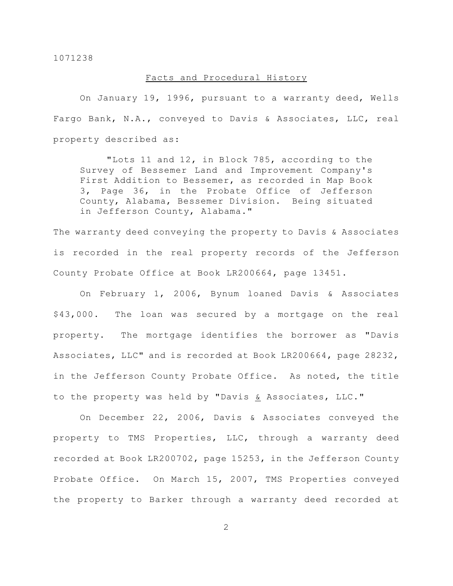# Facts and Procedural History

On January 19, 1996, pursuant to a warranty deed, Wells Fargo Bank, N.A., conveyed to Davis & Associates, LLC, real property described as:

"Lots 11 and 12, in Block 785, according to the Survey of Bessemer Land and Improvement Company's First Addition to Bessemer, as recorded in Map Book 3, Page 36, in the Probate Office of Jefferson County, Alabama, Bessemer Division. Being situated in Jefferson County, Alabama."

The warranty deed conveying the property to Davis & Associates is recorded in the real property records of the Jefferson County Probate Office at Book LR200664, page 13451.

On February 1, 2006, Bynum loaned Davis & Associates \$43,000. The loan was secured by a mortgage on the real property. The mortgage identifies the borrower as "Davis Associates, LLC" and is recorded at Book LR200664, page 28232, in the Jefferson County Probate Office. As noted, the title to the property was held by "Davis & Associates, LLC."

On December 22, 2006, Davis & Associates conveyed the property to TMS Properties, LLC, through a warranty deed recorded at Book LR200702, page 15253, in the Jefferson County Probate Office. On March 15, 2007, TMS Properties conveyed the property to Barker through a warranty deed recorded at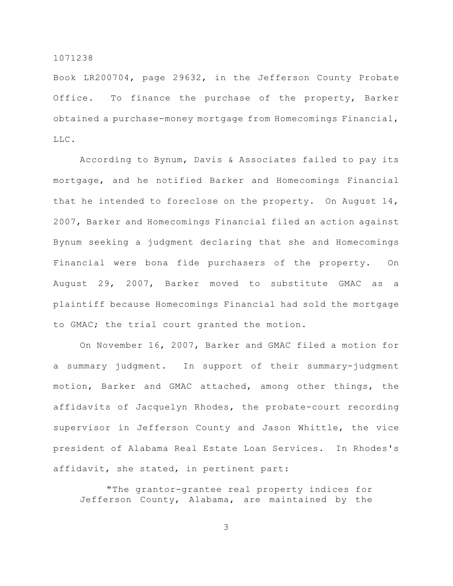Book LR200704, page 29632, in the Jefferson County Probate Office. To finance the purchase of the property, Barker obtained a purchase-money mortgage from Homecomings Financial, LLC.

According to Bynum, Davis & Associates failed to pay its mortgage, and he notified Barker and Homecomings Financial that he intended to foreclose on the property. On August 14, 2007, Barker and Homecomings Financial filed an action against Bynum seeking a judgment declaring that she and Homecomings Financial were bona fide purchasers of the property. On August 29, 2007, Barker moved to substitute GMAC as a plaintiff because Homecomings Financial had sold the mortgage to GMAC; the trial court granted the motion.

On November 16, 2007, Barker and GMAC filed a motion for a summary judgment. In support of their summary-judgment motion, Barker and GMAC attached, among other things, the affidavits of Jacquelyn Rhodes, the probate-court recording supervisor in Jefferson County and Jason Whittle, the vice president of Alabama Real Estate Loan Services. In Rhodes's affidavit, she stated, in pertinent part:

"The grantor-grantee real property indices for Jefferson County, Alabama, are maintained by the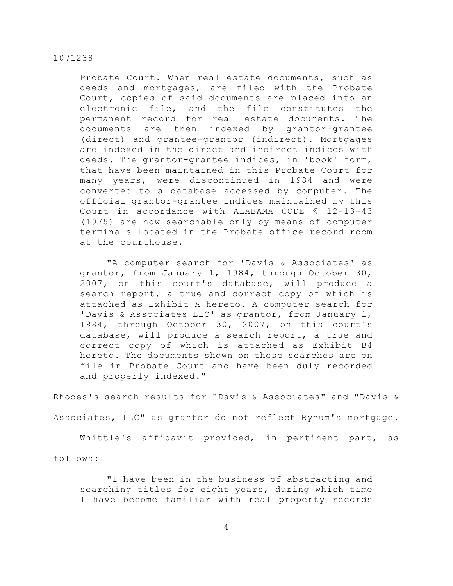Probate Court. When real estate documents, such as deeds and mortgages, are filed with the Probate Court, copies of said documents are placed into an electronic file, and the file constitutes the permanent record for real estate documents. The documents are then indexed by grantor-grantee (direct) and grantee-grantor (indirect). Mortgages are indexed in the direct and indirect indices with deeds. The grantor-grantee indices, in 'book' form, that have been maintained in this Probate Court for many years, were discontinued in 1984 and were converted to a database accessed by computer. The official grantor-grantee indices maintained by this Court in accordance with ALABAMA CODE § 12-13-43 (1975) are now searchable only by means of computer terminals located in the Probate office record room at the courthouse.

"A computer search for 'Davis & Associates' as grantor, from January 1, 1984, through October 30, 2007, on this court's database, will produce a search report, a true and correct copy of which is attached as Exhibit A hereto. A computer search for 'Davis & Associates LLC' as grantor, from January 1, 1984, through October 30, 2007, on this court's database, will produce a search report, a true and correct copy of which is attached as Exhibit B4 hereto. The documents shown on these searches are on file in Probate Court and have been duly recorded and properly indexed."

Rhodes's search results for "Davis & Associates" and "Davis & Associates, LLC" as grantor do not reflect Bynum's mortgage.

Whittle's affidavit provided, in pertinent part, as

follows:

"I have been in the business of abstracting and searching titles for eight years, during which time I have become familiar with real property records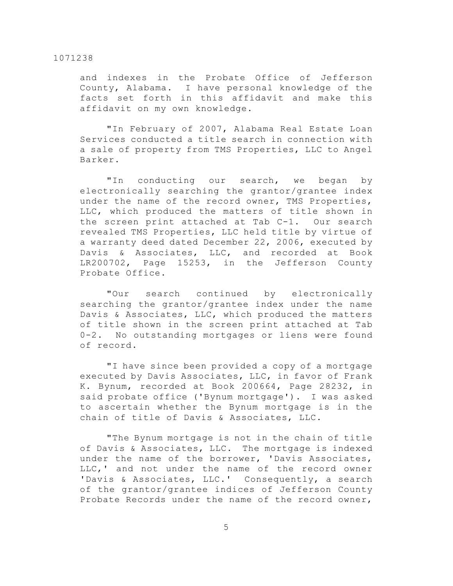and indexes in the Probate Office of Jefferson County, Alabama. I have personal knowledge of the facts set forth in this affidavit and make this affidavit on my own knowledge.

"In February of 2007, Alabama Real Estate Loan Services conducted a title search in connection with a sale of property from TMS Properties, LLC to Angel Barker.

"In conducting our search, we began by electronically searching the grantor/grantee index under the name of the record owner, TMS Properties, LLC, which produced the matters of title shown in the screen print attached at Tab C-1. Our search revealed TMS Properties, LLC held title by virtue of a warranty deed dated December 22, 2006, executed by Davis & Associates, LLC, and recorded at Book LR200702, Page 15253, in the Jefferson County Probate Office.

"Our search continued by electronically searching the grantor/grantee index under the name Davis & Associates, LLC, which produced the matters of title shown in the screen print attached at Tab 0-2. No outstanding mortgages or liens were found of record.

"I have since been provided a copy of a mortgage executed by Davis Associates, LLC, in favor of Frank K. Bynum, recorded at Book 200664, Page 28232, in said probate office ('Bynum mortgage'). I was asked to ascertain whether the Bynum mortgage is in the chain of title of Davis & Associates, LLC.

"The Bynum mortgage is not in the chain of title of Davis & Associates, LLC. The mortgage is indexed under the name of the borrower, 'Davis Associates, LLC,' and not under the name of the record owner 'Davis & Associates, LLC.' Consequently, a search of the grantor/grantee indices of Jefferson County Probate Records under the name of the record owner,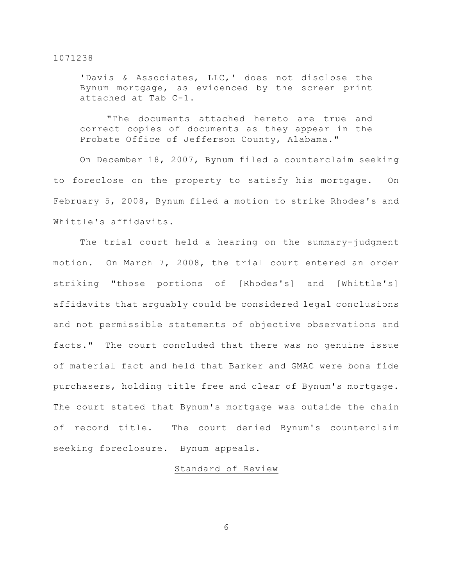'Davis & Associates, LLC,' does not disclose the Bynum mortgage, as evidenced by the screen print attached at Tab C-1.

"The documents attached hereto are true and correct copies of documents as they appear in the Probate Office of Jefferson County, Alabama."

On December 18, 2007, Bynum filed a counterclaim seeking to foreclose on the property to satisfy his mortgage. On February 5, 2008, Bynum filed a motion to strike Rhodes's and Whittle's affidavits.

The trial court held a hearing on the summary-judgment motion. On March 7, 2008, the trial court entered an order striking "those portions of [Rhodes's] and [Whittle's] affidavits that arguably could be considered legal conclusions and not permissible statements of objective observations and facts." The court concluded that there was no genuine issue of material fact and held that Barker and GMAC were bona fide purchasers, holding title free and clear of Bynum's mortgage. The court stated that Bynum's mortgage was outside the chain of record title. The court denied Bynum's counterclaim seeking foreclosure. Bynum appeals.

# Standard of Review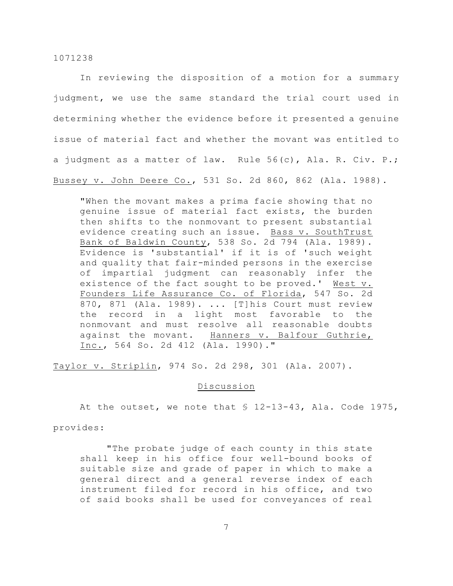In reviewing the disposition of a motion for a summary judgment, we use the same standard the trial court used in determining whether the evidence before it presented a genuine issue of material fact and whether the movant was entitled to a judgment as a matter of law. Rule 56(c), Ala. R. Civ. P.; Bussey v. John Deere Co., 531 So. 2d 860, 862 (Ala. 1988).

"When the movant makes a prima facie showing that no genuine issue of material fact exists, the burden then shifts to the nonmovant to present substantial evidence creating such an issue. Bass v. SouthTrust Bank of Baldwin County, 538 So. 2d 794 (Ala. 1989). Evidence is 'substantial' if it is of 'such weight and quality that fair-minded persons in the exercise of impartial judgment can reasonably infer the existence of the fact sought to be proved.' West v. Founders Life Assurance Co. of Florida, 547 So. 2d 870, 871 (Ala. 1989). ... [T]his Court must review the record in a light most favorable to the nonmovant and must resolve all reasonable doubts against the movant. Hanners v. Balfour Guthrie, Inc., 564 So. 2d 412 (Ala. 1990)."

Taylor v. Striplin, 974 So. 2d 298, 301 (Ala. 2007).

## Discussion

At the outset, we note that § 12-13-43, Ala. Code 1975,

provides:

"The probate judge of each county in this state shall keep in his office four well-bound books of suitable size and grade of paper in which to make a general direct and a general reverse index of each instrument filed for record in his office, and two of said books shall be used for conveyances of real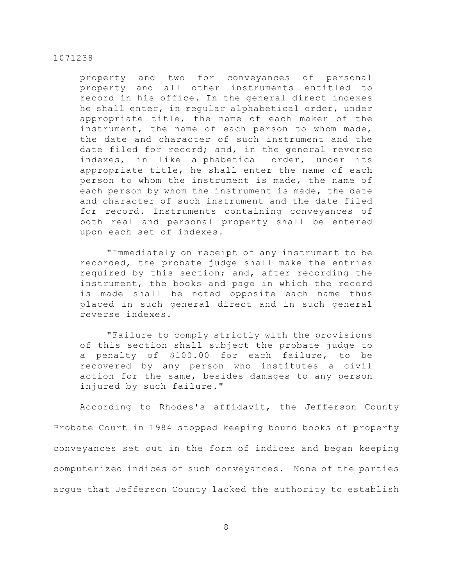property and two for conveyances of personal property and all other instruments entitled to record in his office. In the general direct indexes he shall enter, in regular alphabetical order, under appropriate title, the name of each maker of the instrument, the name of each person to whom made, the date and character of such instrument and the date filed for record; and, in the general reverse indexes, in like alphabetical order, under its appropriate title, he shall enter the name of each person to whom the instrument is made, the name of each person by whom the instrument is made, the date and character of such instrument and the date filed for record. Instruments containing conveyances of both real and personal property shall be entered upon each set of indexes.

"Immediately on receipt of any instrument to be recorded, the probate judge shall make the entries required by this section; and, after recording the instrument, the books and page in which the record is made shall be noted opposite each name thus placed in such general direct and in such general reverse indexes.

"Failure to comply strictly with the provisions of this section shall subject the probate judge to a penalty of \$100.00 for each failure, to be recovered by any person who institutes a civil action for the same, besides damages to any person injured by such failure."

According to Rhodes's affidavit, the Jefferson County Probate Court in 1984 stopped keeping bound books of property conveyances set out in the form of indices and began keeping computerized indices of such conveyances. None of the parties argue that Jefferson County lacked the authority to establish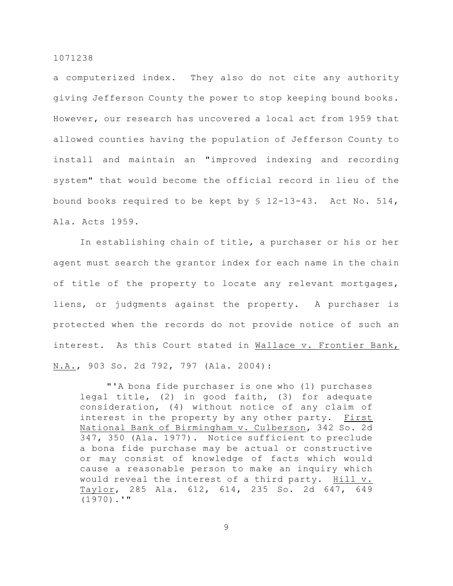a computerized index. They also do not cite any authority giving Jefferson County the power to stop keeping bound books. However, our research has uncovered a local act from 1959 that allowed counties having the population of Jefferson County to install and maintain an "improved indexing and recording system" that would become the official record in lieu of the bound books required to be kept by § 12-13-43. Act No. 514, Ala. Acts 1959.

In establishing chain of title, a purchaser or his or her agent must search the grantor index for each name in the chain of title of the property to locate any relevant mortgages, liens, or judgments against the property. A purchaser is protected when the records do not provide notice of such an interest. As this Court stated in Wallace v. Frontier Bank, N.A., 903 So. 2d 792, 797 (Ala. 2004):

"'A bona fide purchaser is one who (1) purchases legal title, (2) in good faith, (3) for adequate consideration, (4) without notice of any claim of interest in the property by any other party. First National Bank of Birmingham v. Culberson, 342 So. 2d 347, 350 (Ala. 1977). Notice sufficient to preclude a bona fide purchase may be actual or constructive or may consist of knowledge of facts which would cause a reasonable person to make an inquiry which would reveal the interest of a third party. Hill v. Taylor, 285 Ala. 612, 614, 235 So. 2d 647, 649 (1970).'"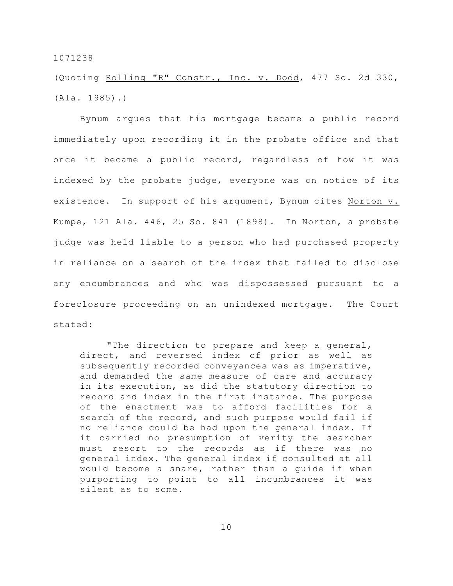(Quoting Rolling "R" Constr., Inc. v. Dodd, 477 So. 2d 330, (Ala. 1985).)

Bynum argues that his mortgage became a public record immediately upon recording it in the probate office and that once it became a public record, regardless of how it was indexed by the probate judge, everyone was on notice of its existence. In support of his argument, Bynum cites Norton v. Kumpe, 121 Ala. 446, 25 So. 841 (1898). In Norton, a probate judge was held liable to a person who had purchased property in reliance on a search of the index that failed to disclose any encumbrances and who was dispossessed pursuant to a foreclosure proceeding on an unindexed mortgage. The Court stated:

"The direction to prepare and keep a general, direct, and reversed index of prior as well as subsequently recorded conveyances was as imperative, and demanded the same measure of care and accuracy in its execution, as did the statutory direction to record and index in the first instance. The purpose of the enactment was to afford facilities for a search of the record, and such purpose would fail if no reliance could be had upon the general index. If it carried no presumption of verity the searcher must resort to the records as if there was no general index. The general index if consulted at all would become a snare, rather than a guide if when purporting to point to all incumbrances it was silent as to some.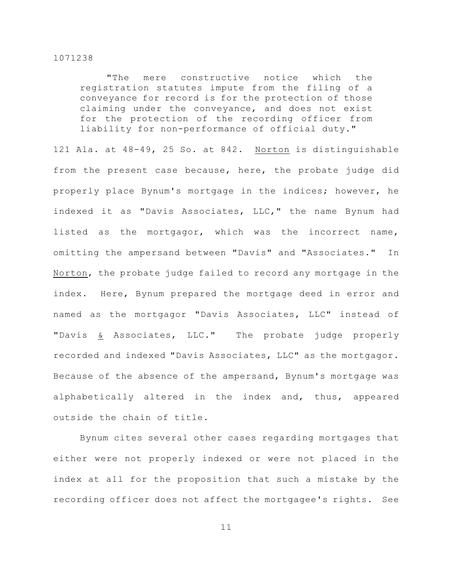"The mere constructive notice which the registration statutes impute from the filing of a conveyance for record is for the protection of those claiming under the conveyance, and does not exist for the protection of the recording officer from liability for non-performance of official duty."

121 Ala. at 48-49, 25 So. at 842. Norton is distinguishable from the present case because, here, the probate judge did properly place Bynum's mortgage in the indices; however, he indexed it as "Davis Associates, LLC," the name Bynum had listed as the mortgagor, which was the incorrect name, omitting the ampersand between "Davis" and "Associates." In Norton, the probate judge failed to record any mortgage in the index. Here, Bynum prepared the mortgage deed in error and named as the mortgagor "Davis Associates, LLC" instead of "Davis & Associates, LLC." The probate judge properly recorded and indexed "Davis Associates, LLC" as the mortgagor. Because of the absence of the ampersand, Bynum's mortgage was alphabetically altered in the index and, thus, appeared outside the chain of title.

Bynum cites several other cases regarding mortgages that either were not properly indexed or were not placed in the index at all for the proposition that such a mistake by the recording officer does not affect the mortgagee's rights. See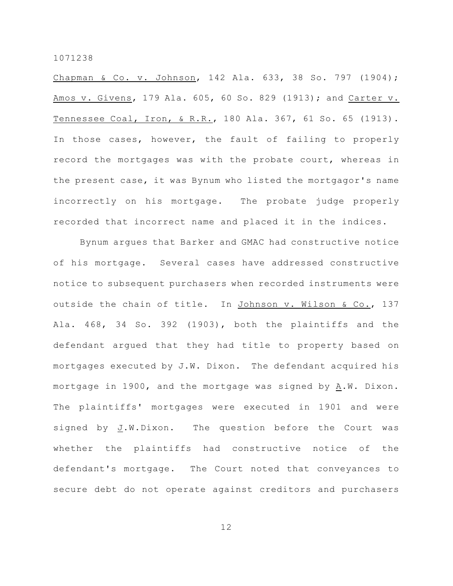Chapman & Co. v. Johnson, 142 Ala. 633, 38 So. 797 (1904); Amos v. Givens, 179 Ala. 605, 60 So. 829 (1913); and Carter v. Tennessee Coal, Iron, & R.R., 180 Ala. 367, 61 So. 65 (1913). In those cases, however, the fault of failing to properly record the mortgages was with the probate court, whereas in the present case, it was Bynum who listed the mortgagor's name incorrectly on his mortgage. The probate judge properly recorded that incorrect name and placed it in the indices.

Bynum argues that Barker and GMAC had constructive notice of his mortgage. Several cases have addressed constructive notice to subsequent purchasers when recorded instruments were outside the chain of title. In Johnson v. Wilson & Co., 137 Ala. 468, 34 So. 392 (1903), both the plaintiffs and the defendant argued that they had title to property based on mortgages executed by J.W. Dixon. The defendant acquired his mortgage in 1900, and the mortgage was signed by  $\underline{A}.\overline{W}$ . Dixon. The plaintiffs' mortgages were executed in 1901 and were signed by J.W.Dixon. The question before the Court was whether the plaintiffs had constructive notice of the defendant's mortgage. The Court noted that conveyances to secure debt do not operate against creditors and purchasers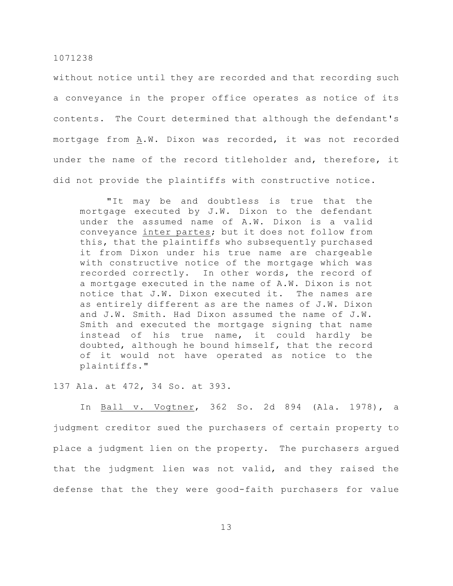without notice until they are recorded and that recording such a conveyance in the proper office operates as notice of its contents. The Court determined that although the defendant's mortgage from A.W. Dixon was recorded, it was not recorded under the name of the record titleholder and, therefore, it did not provide the plaintiffs with constructive notice.

"It may be and doubtless is true that the mortgage executed by J.W. Dixon to the defendant under the assumed name of A.W. Dixon is a valid conveyance inter partes; but it does not follow from this, that the plaintiffs who subsequently purchased it from Dixon under his true name are chargeable with constructive notice of the mortgage which was recorded correctly. In other words, the record of a mortgage executed in the name of A.W. Dixon is not notice that J.W. Dixon executed it. The names are as entirely different as are the names of J.W. Dixon and J.W. Smith. Had Dixon assumed the name of J.W. Smith and executed the mortgage signing that name instead of his true name, it could hardly be doubted, although he bound himself, that the record of it would not have operated as notice to the plaintiffs."

137 Ala. at 472, 34 So. at 393.

In Ball v. Vogtner, 362 So. 2d 894 (Ala. 1978), a judgment creditor sued the purchasers of certain property to place a judgment lien on the property. The purchasers argued that the judgment lien was not valid, and they raised the defense that the they were good-faith purchasers for value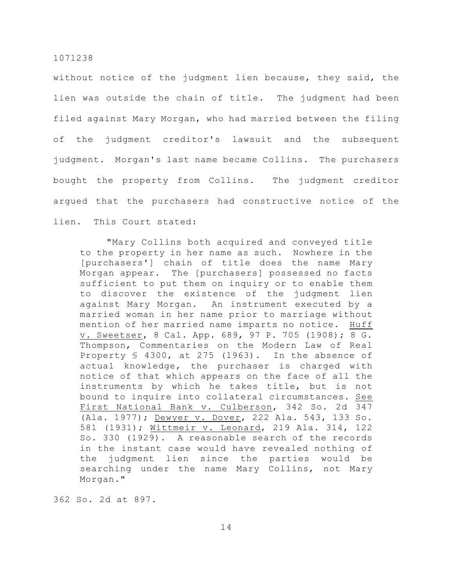without notice of the judgment lien because, they said, the lien was outside the chain of title. The judgment had been filed against Mary Morgan, who had married between the filing of the judgment creditor's lawsuit and the subsequent judgment. Morgan's last name became Collins. The purchasers bought the property from Collins. The judgment creditor argued that the purchasers had constructive notice of the lien. This Court stated:

"Mary Collins both acquired and conveyed title to the property in her name as such. Nowhere in the [purchasers'] chain of title does the name Mary Morgan appear. The [purchasers] possessed no facts sufficient to put them on inquiry or to enable them to discover the existence of the judgment lien against Mary Morgan. An instrument executed by a married woman in her name prior to marriage without mention of her married name imparts no notice. Huff v. Sweetser, 8 Cal. App. 689, 97 P. 705 (1908); 8 G. Thompson, Commentaries on the Modern Law of Real Property § 4300, at 275 (1963). In the absence of actual knowledge, the purchaser is charged with notice of that which appears on the face of all the instruments by which he takes title, but is not bound to inquire into collateral circumstances. See First National Bank v. Culberson, 342 So. 2d 347 (Ala. 1977); Dewyer v. Dover, 222 Ala. 543, 133 So. 581 (1931); Wittmeir v. Leonard, 219 Ala. 314, 122 So. 330 (1929). A reasonable search of the records in the instant case would have revealed nothing of the judgment lien since the parties would be searching under the name Mary Collins, not Mary Morgan."

362 So. 2d at 897.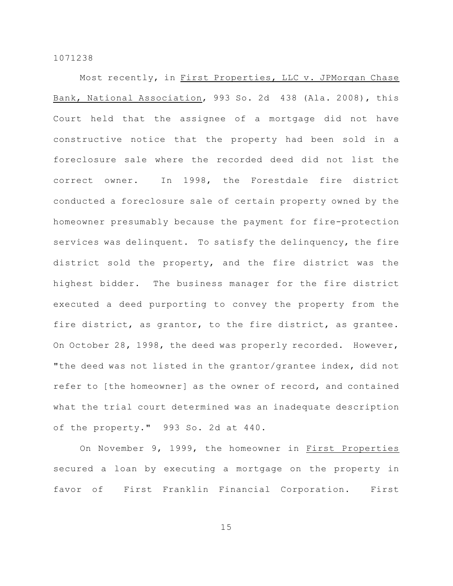Most recently, in First Properties, LLC v. JPMorgan Chase Bank, National Association, 993 So. 2d 438 (Ala. 2008), this Court held that the assignee of a mortgage did not have constructive notice that the property had been sold in a foreclosure sale where the recorded deed did not list the correct owner. In 1998, the Forestdale fire district conducted a foreclosure sale of certain property owned by the homeowner presumably because the payment for fire-protection services was delinquent. To satisfy the delinquency, the fire district sold the property, and the fire district was the highest bidder. The business manager for the fire district executed a deed purporting to convey the property from the fire district, as grantor, to the fire district, as grantee. On October 28, 1998, the deed was properly recorded. However, "the deed was not listed in the grantor/grantee index, did not refer to [the homeowner] as the owner of record, and contained what the trial court determined was an inadequate description of the property." 993 So. 2d at 440.

On November 9, 1999, the homeowner in First Properties secured a loan by executing a mortgage on the property in favor of First Franklin Financial Corporation. First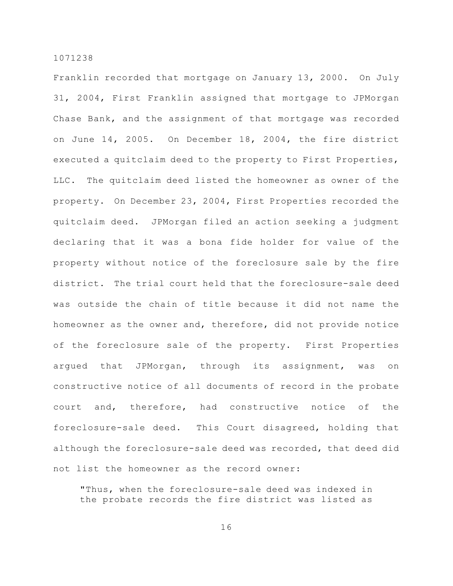Franklin recorded that mortgage on January 13, 2000. On July 31, 2004, First Franklin assigned that mortgage to JPMorgan Chase Bank, and the assignment of that mortgage was recorded on June 14, 2005. On December 18, 2004, the fire district executed a quitclaim deed to the property to First Properties, LLC. The quitclaim deed listed the homeowner as owner of the property. On December 23, 2004, First Properties recorded the quitclaim deed. JPMorgan filed an action seeking a judgment declaring that it was a bona fide holder for value of the property without notice of the foreclosure sale by the fire district. The trial court held that the foreclosure-sale deed was outside the chain of title because it did not name the homeowner as the owner and, therefore, did not provide notice of the foreclosure sale of the property. First Properties argued that JPMorgan, through its assignment, was on constructive notice of all documents of record in the probate court and, therefore, had constructive notice of the foreclosure-sale deed. This Court disagreed, holding that although the foreclosure-sale deed was recorded, that deed did not list the homeowner as the record owner:

"Thus, when the foreclosure-sale deed was indexed in the probate records the fire district was listed as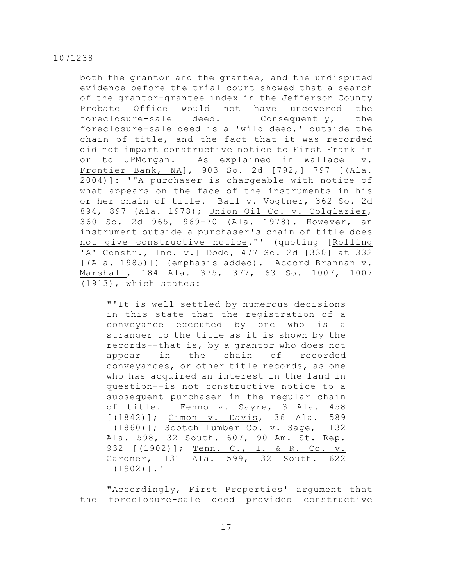both the grantor and the grantee, and the undisputed evidence before the trial court showed that a search of the grantor-grantee index in the Jefferson County Probate Office would not have uncovered the foreclosure-sale deed. Consequently, the foreclosure-sale deed is a 'wild deed,' outside the chain of title, and the fact that it was recorded did not impart constructive notice to First Franklin or to JPMorgan. As explained in Wallace [v. Frontier Bank, NA], 903 So. 2d [792,] 797 [(Ala. 2004)]: '"A purchaser is chargeable with notice of what appears on the face of the instruments in his or her chain of title. Ball v. Vogtner, 362 So. 2d 894, 897 (Ala. 1978); Union Oil Co. v. Colglazier, 360 So. 2d 965, 969-70 (Ala. 1978). However, an instrument outside a purchaser's chain of title does not give constructive notice."' (quoting [Rolling 'A' Constr., Inc. v.] Dodd, 477 So. 2d [330] at 332 [(Ala. 1985)]) (emphasis added). Accord Brannan v. Marshall, 184 Ala. 375, 377, 63 So. 1007, 1007 (1913), which states:

"'It is well settled by numerous decisions in this state that the registration of a conveyance executed by one who is a stranger to the title as it is shown by the records--that is, by a grantor who does not appear in the chain of recorded conveyances, or other title records, as one who has acquired an interest in the land in question--is not constructive notice to a subsequent purchaser in the regular chain of title. Fenno v. Sayre, 3 Ala. 458 [(1842)]; Gimon v. Davis, 36 Ala. 589 [(1860)]; Scotch Lumber Co. v. Sage, 132 Ala. 598, 32 South. 607, 90 Am. St. Rep. 932 [(1902)]; Tenn. C., I. & R. Co. v. Gardner, 131 Ala. 599, 32 South. 622 [(1902)].'

"Accordingly, First Properties' argument that the foreclosure-sale deed provided constructive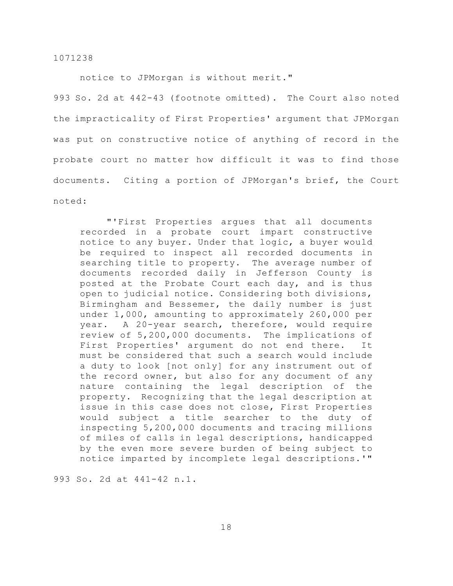notice to JPMorgan is without merit."

993 So. 2d at 442-43 (footnote omitted). The Court also noted the impracticality of First Properties' argument that JPMorgan was put on constructive notice of anything of record in the probate court no matter how difficult it was to find those documents. Citing a portion of JPMorgan's brief, the Court noted:

"'First Properties argues that all documents recorded in a probate court impart constructive notice to any buyer. Under that logic, a buyer would be required to inspect all recorded documents in searching title to property. The average number of documents recorded daily in Jefferson County is posted at the Probate Court each day, and is thus open to judicial notice. Considering both divisions, Birmingham and Bessemer, the daily number is just under 1,000, amounting to approximately 260,000 per year. A 20-year search, therefore, would require review of 5,200,000 documents. The implications of First Properties' argument do not end there. It must be considered that such a search would include a duty to look [not only] for any instrument out of the record owner, but also for any document of any nature containing the legal description of the property. Recognizing that the legal description at issue in this case does not close, First Properties would subject a title searcher to the duty of inspecting 5,200,000 documents and tracing millions of miles of calls in legal descriptions, handicapped by the even more severe burden of being subject to notice imparted by incomplete legal descriptions.'"

993 So. 2d at 441-42 n.1.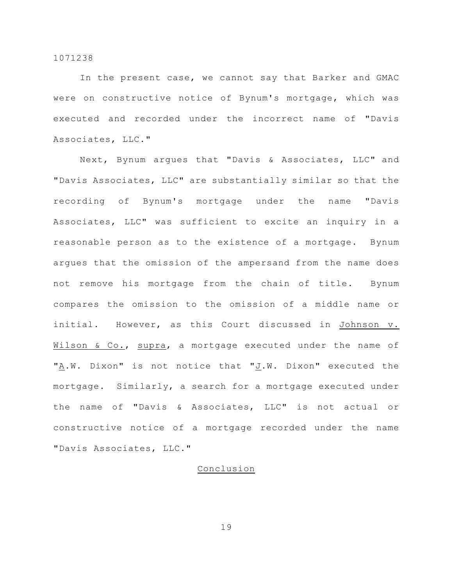In the present case, we cannot say that Barker and GMAC were on constructive notice of Bynum's mortgage, which was executed and recorded under the incorrect name of "Davis Associates, LLC."

Next, Bynum argues that "Davis & Associates, LLC" and "Davis Associates, LLC" are substantially similar so that the recording of Bynum's mortgage under the name "Davis Associates, LLC" was sufficient to excite an inquiry in a reasonable person as to the existence of a mortgage. Bynum argues that the omission of the ampersand from the name does not remove his mortgage from the chain of title. Bynum compares the omission to the omission of a middle name or initial. However, as this Court discussed in Johnson v. Wilson & Co., supra, a mortgage executed under the name of "A.W. Dixon" is not notice that "J.W. Dixon" executed the mortgage. Similarly, a search for a mortgage executed under the name of "Davis & Associates, LLC" is not actual or constructive notice of a mortgage recorded under the name "Davis Associates, LLC."

# Conclusion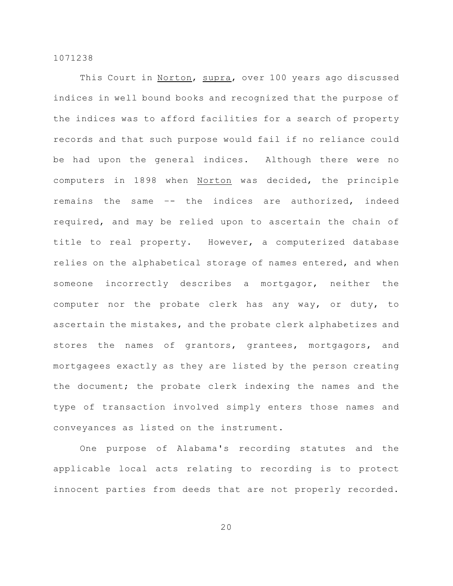This Court in Norton, supra, over 100 years ago discussed indices in well bound books and recognized that the purpose of the indices was to afford facilities for a search of property records and that such purpose would fail if no reliance could be had upon the general indices. Although there were no computers in 1898 when Norton was decided, the principle remains the same –- the indices are authorized, indeed required, and may be relied upon to ascertain the chain of title to real property. However, a computerized database relies on the alphabetical storage of names entered, and when someone incorrectly describes a mortgagor, neither the computer nor the probate clerk has any way, or duty, to ascertain the mistakes, and the probate clerk alphabetizes and stores the names of grantors, grantees, mortgagors, and mortgagees exactly as they are listed by the person creating the document; the probate clerk indexing the names and the type of transaction involved simply enters those names and conveyances as listed on the instrument.

One purpose of Alabama's recording statutes and the applicable local acts relating to recording is to protect innocent parties from deeds that are not properly recorded.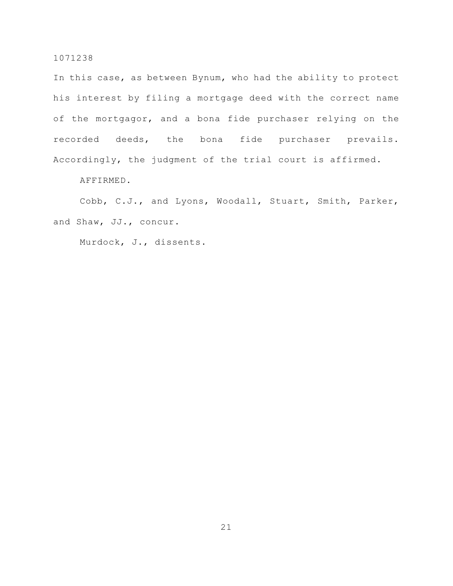In this case, as between Bynum, who had the ability to protect his interest by filing a mortgage deed with the correct name of the mortgagor, and a bona fide purchaser relying on the recorded deeds, the bona fide purchaser prevails. Accordingly, the judgment of the trial court is affirmed.

AFFIRMED.

Cobb, C.J., and Lyons, Woodall, Stuart, Smith, Parker, and Shaw, JJ., concur.

Murdock, J., dissents.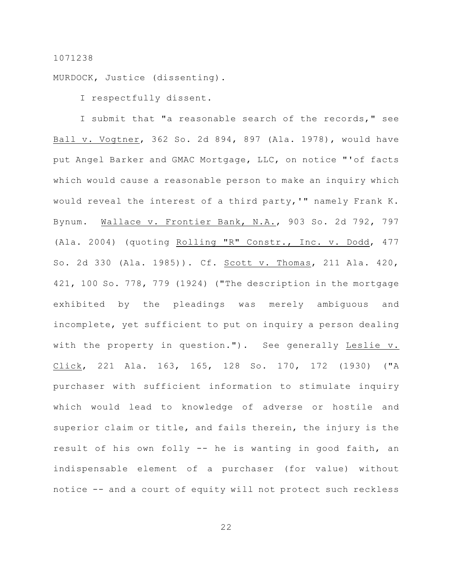MURDOCK, Justice (dissenting).

I respectfully dissent.

I submit that "a reasonable search of the records," see Ball v. Vogtner, 362 So. 2d 894, 897 (Ala. 1978), would have put Angel Barker and GMAC Mortgage, LLC, on notice "'of facts which would cause a reasonable person to make an inquiry which would reveal the interest of a third party,'" namely Frank K. Bynum. Wallace v. Frontier Bank, N.A., 903 So. 2d 792, 797 (Ala. 2004) (quoting Rolling "R" Constr., Inc. v. Dodd, 477 So. 2d 330 (Ala. 1985)). Cf. Scott v. Thomas, 211 Ala. 420, 421, 100 So. 778, 779 (1924) ("The description in the mortgage exhibited by the pleadings was merely ambiguous and incomplete, yet sufficient to put on inquiry a person dealing with the property in question."). See generally Leslie v. Click, 221 Ala. 163, 165, 128 So. 170, 172 (1930) ("A purchaser with sufficient information to stimulate inquiry which would lead to knowledge of adverse or hostile and superior claim or title, and fails therein, the injury is the result of his own folly -- he is wanting in good faith, an indispensable element of a purchaser (for value) without notice -- and a court of equity will not protect such reckless